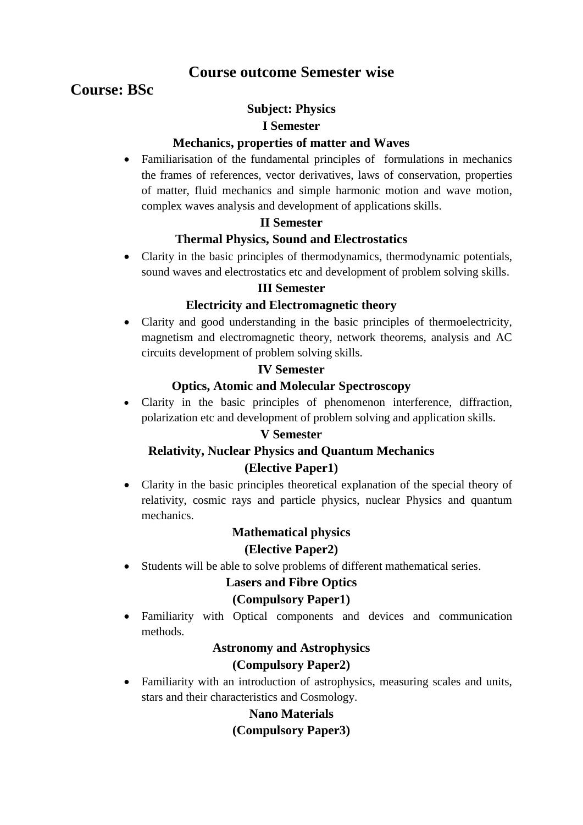## **Course outcome Semester wise**

# **Course: BSc**

## **Subject: Physics**

#### **I Semester**

## **Mechanics, properties of matter and Waves**

 Familiarisation of the fundamental principles of formulations in mechanics the frames of references, vector derivatives, laws of conservation, properties of matter, fluid mechanics and simple harmonic motion and wave motion, complex waves analysis and development of applications skills.

## **II Semester**

## **Thermal Physics, Sound and Electrostatics**

 Clarity in the basic principles of thermodynamics, thermodynamic potentials, sound waves and electrostatics etc and development of problem solving skills.

#### **III Semester**

## **Electricity and Electromagnetic theory**

 Clarity and good understanding in the basic principles of thermoelectricity, magnetism and electromagnetic theory, network theorems, analysis and AC circuits development of problem solving skills.

## **IV Semester**

## **Optics, Atomic and Molecular Spectroscopy**

 Clarity in the basic principles of phenomenon interference, diffraction, polarization etc and development of problem solving and application skills.

## **V Semester**

## **Relativity, Nuclear Physics and Quantum Mechanics (Elective Paper1)**

 Clarity in the basic principles theoretical explanation of the special theory of relativity, cosmic rays and particle physics, nuclear Physics and quantum mechanics.

# **Mathematical physics**

## **(Elective Paper2)**

Students will be able to solve problems of different mathematical series.

## **Lasers and Fibre Optics**

## **(Compulsory Paper1)**

 Familiarity with Optical components and devices and communication methods.

## **Astronomy and Astrophysics**

## **(Compulsory Paper2)**

 Familiarity with an introduction of astrophysics, measuring scales and units, stars and their characteristics and Cosmology.

## **Nano Materials**

## **(Compulsory Paper3)**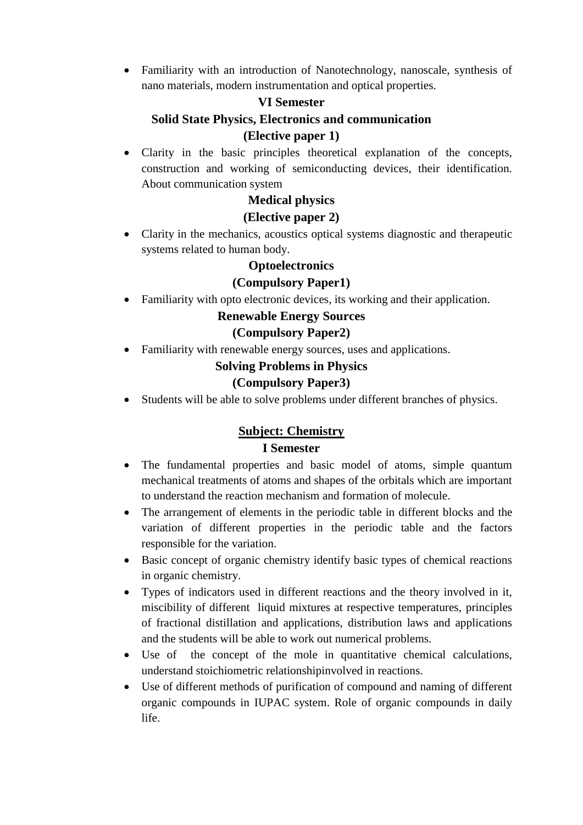Familiarity with an introduction of Nanotechnology, nanoscale, synthesis of nano materials, modern instrumentation and optical properties.

## **VI Semester**

# **Solid State Physics, Electronics and communication (Elective paper 1)**

 Clarity in the basic principles theoretical explanation of the concepts, construction and working of semiconducting devices, their identification. About communication system

## **Medical physics**

### **(Elective paper 2)**

 Clarity in the mechanics, acoustics optical systems diagnostic and therapeutic systems related to human body.

#### **Optoelectronics**

#### **(Compulsory Paper1)**

Familiarity with opto electronic devices, its working and their application.

#### **Renewable Energy Sources**

#### **(Compulsory Paper2)**

Familiarity with renewable energy sources, uses and applications.

#### **Solving Problems in Physics**

## **(Compulsory Paper3)**

Students will be able to solve problems under different branches of physics.

## **Subject: Chemistry I Semester**

- The fundamental properties and basic model of atoms, simple quantum mechanical treatments of atoms and shapes of the orbitals which are important to understand the reaction mechanism and formation of molecule.
- The arrangement of elements in the periodic table in different blocks and the variation of different properties in the periodic table and the factors responsible for the variation.
- Basic concept of organic chemistry identify basic types of chemical reactions in organic chemistry.
- Types of indicators used in different reactions and the theory involved in it, miscibility of different liquid mixtures at respective temperatures, principles of fractional distillation and applications, distribution laws and applications and the students will be able to work out numerical problems.
- Use of the concept of the mole in quantitative chemical calculations, understand stoichiometric relationshipinvolved in reactions.
- Use of different methods of purification of compound and naming of different organic compounds in IUPAC system. Role of organic compounds in daily life.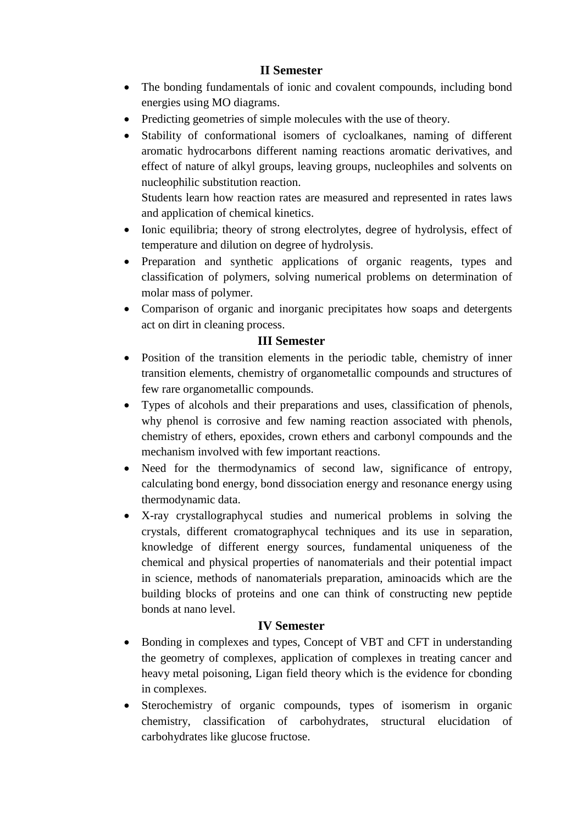## **II Semester**

- The bonding fundamentals of ionic and covalent compounds, including bond energies using MO diagrams.
- Predicting geometries of simple molecules with the use of theory.
- Stability of conformational isomers of cycloalkanes, naming of different aromatic hydrocarbons different naming reactions aromatic derivatives, and effect of nature of alkyl groups, leaving groups, nucleophiles and solvents on nucleophilic substitution reaction.

Students learn how reaction rates are measured and represented in rates laws and application of chemical kinetics.

- Ionic equilibria; theory of strong electrolytes, degree of hydrolysis, effect of temperature and dilution on degree of hydrolysis.
- Preparation and synthetic applications of organic reagents, types and classification of polymers, solving numerical problems on determination of molar mass of polymer.
- Comparison of organic and inorganic precipitates how soaps and detergents act on dirt in cleaning process.

## **III Semester**

- Position of the transition elements in the periodic table, chemistry of inner transition elements, chemistry of organometallic compounds and structures of few rare organometallic compounds.
- Types of alcohols and their preparations and uses, classification of phenols, why phenol is corrosive and few naming reaction associated with phenols, chemistry of ethers, epoxides, crown ethers and carbonyl compounds and the mechanism involved with few important reactions.
- Need for the thermodynamics of second law, significance of entropy, calculating bond energy, bond dissociation energy and resonance energy using thermodynamic data.
- X-ray crystallographycal studies and numerical problems in solving the crystals, different cromatographycal techniques and its use in separation, knowledge of different energy sources, fundamental uniqueness of the chemical and physical properties of nanomaterials and their potential impact in science, methods of nanomaterials preparation, aminoacids which are the building blocks of proteins and one can think of constructing new peptide bonds at nano level.

## **IV Semester**

- Bonding in complexes and types, Concept of VBT and CFT in understanding the geometry of complexes, application of complexes in treating cancer and heavy metal poisoning, Ligan field theory which is the evidence for cbonding in complexes.
- Sterochemistry of organic compounds, types of isomerism in organic chemistry, classification of carbohydrates, structural elucidation of carbohydrates like glucose fructose.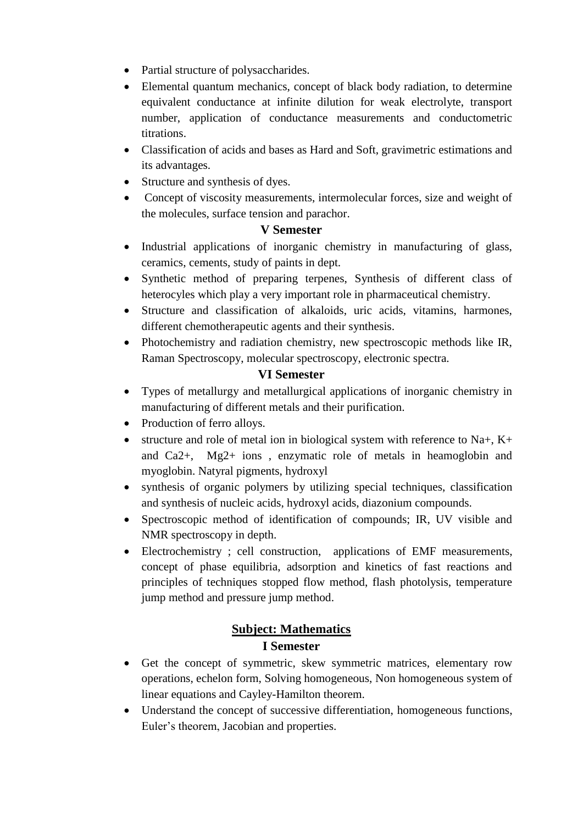- Partial structure of polysaccharides.
- Elemental quantum mechanics, concept of black body radiation, to determine equivalent conductance at infinite dilution for weak electrolyte, transport number, application of conductance measurements and conductometric titrations.
- Classification of acids and bases as Hard and Soft, gravimetric estimations and its advantages.
- Structure and synthesis of dyes.
- Concept of viscosity measurements, intermolecular forces, size and weight of the molecules, surface tension and parachor.

#### **V Semester**

- Industrial applications of inorganic chemistry in manufacturing of glass, ceramics, cements, study of paints in dept.
- Synthetic method of preparing terpenes, Synthesis of different class of heterocyles which play a very important role in pharmaceutical chemistry.
- Structure and classification of alkaloids, uric acids, vitamins, harmones, different chemotherapeutic agents and their synthesis.
- Photochemistry and radiation chemistry, new spectroscopic methods like IR, Raman Spectroscopy, molecular spectroscopy, electronic spectra.

#### **VI Semester**

- Types of metallurgy and metallurgical applications of inorganic chemistry in manufacturing of different metals and their purification.
- Production of ferro alloys.
- structure and role of metal ion in biological system with reference to Na+,  $K+$ and Ca2+, Mg2+ ions , enzymatic role of metals in heamoglobin and myoglobin. Natyral pigments, hydroxyl
- synthesis of organic polymers by utilizing special techniques, classification and synthesis of nucleic acids, hydroxyl acids, diazonium compounds.
- Spectroscopic method of identification of compounds; IR, UV visible and NMR spectroscopy in depth.
- Electrochemistry ; cell construction, applications of EMF measurements, concept of phase equilibria, adsorption and kinetics of fast reactions and principles of techniques stopped flow method, flash photolysis, temperature jump method and pressure jump method.

## **Subject: Mathematics I Semester**

- Get the concept of symmetric, skew symmetric matrices, elementary row operations, echelon form, Solving homogeneous, Non homogeneous system of linear equations and Cayley-Hamilton theorem.
- Understand the concept of successive differentiation, homogeneous functions, Euler's theorem, Jacobian and properties.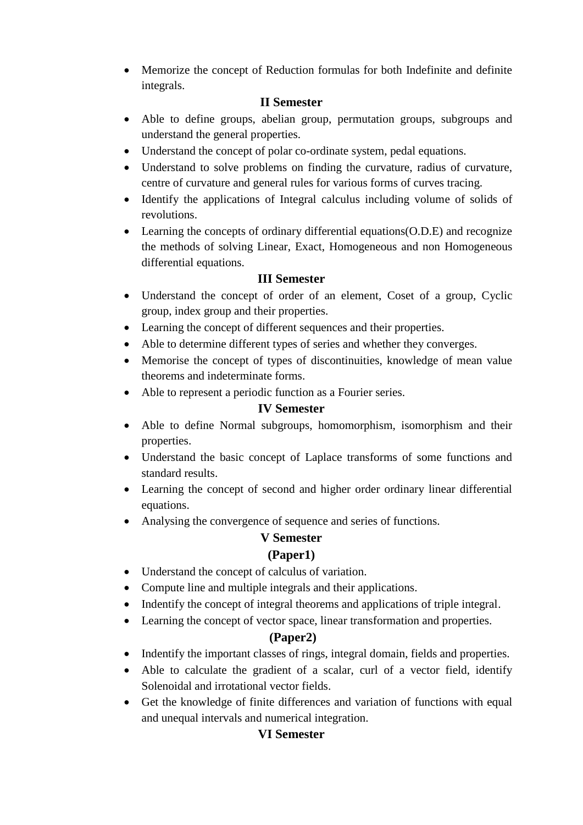Memorize the concept of Reduction formulas for both Indefinite and definite integrals.

## **II Semester**

- Able to define groups, abelian group, permutation groups, subgroups and understand the general properties.
- Understand the concept of polar co-ordinate system, pedal equations.
- Understand to solve problems on finding the curvature, radius of curvature, centre of curvature and general rules for various forms of curves tracing.
- Identify the applications of Integral calculus including volume of solids of revolutions.
- Learning the concepts of ordinary differential equations(O.D.E) and recognize the methods of solving Linear, Exact, Homogeneous and non Homogeneous differential equations.

## **III Semester**

- Understand the concept of order of an element, Coset of a group, Cyclic group, index group and their properties.
- Learning the concept of different sequences and their properties.
- Able to determine different types of series and whether they converges.
- Memorise the concept of types of discontinuities, knowledge of mean value theorems and indeterminate forms.
- Able to represent a periodic function as a Fourier series.

## **IV Semester**

- Able to define Normal subgroups, homomorphism, isomorphism and their properties.
- Understand the basic concept of Laplace transforms of some functions and standard results.
- Learning the concept of second and higher order ordinary linear differential equations.
- Analysing the convergence of sequence and series of functions.

## **V Semester**

## **(Paper1)**

- Understand the concept of calculus of variation.
- Compute line and multiple integrals and their applications.
- Indentify the concept of integral theorems and applications of triple integral.
- Learning the concept of vector space, linear transformation and properties.

## **(Paper2)**

- Indentify the important classes of rings, integral domain, fields and properties.
- Able to calculate the gradient of a scalar, curl of a vector field, identify Solenoidal and irrotational vector fields.
- Get the knowledge of finite differences and variation of functions with equal and unequal intervals and numerical integration.

## **VI Semester**